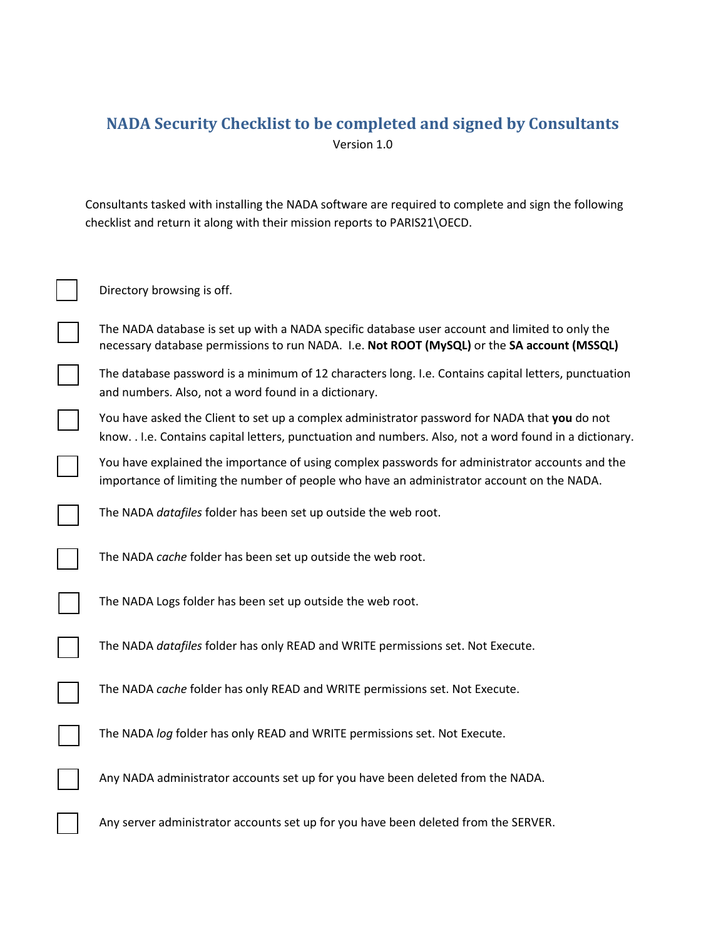# **NADA Security Checklist to be completed and signed by Consultants** Version 1.0

Consultants tasked with installing the NADA software are required to complete and sign the following checklist and return it along with their mission reports to PARIS21\OECD.

| Directory browsing is off.                                                                                                                                                                               |
|----------------------------------------------------------------------------------------------------------------------------------------------------------------------------------------------------------|
| The NADA database is set up with a NADA specific database user account and limited to only the<br>necessary database permissions to run NADA. I.e. Not ROOT (MySQL) or the SA account (MSSQL)            |
| The database password is a minimum of 12 characters long. I.e. Contains capital letters, punctuation<br>and numbers. Also, not a word found in a dictionary.                                             |
| You have asked the Client to set up a complex administrator password for NADA that you do not<br>know. . I.e. Contains capital letters, punctuation and numbers. Also, not a word found in a dictionary. |
| You have explained the importance of using complex passwords for administrator accounts and the<br>importance of limiting the number of people who have an administrator account on the NADA.            |
| The NADA datafiles folder has been set up outside the web root.                                                                                                                                          |
| The NADA cache folder has been set up outside the web root.                                                                                                                                              |
| The NADA Logs folder has been set up outside the web root.                                                                                                                                               |
| The NADA datafiles folder has only READ and WRITE permissions set. Not Execute.                                                                                                                          |
| The NADA cache folder has only READ and WRITE permissions set. Not Execute.                                                                                                                              |
| The NADA log folder has only READ and WRITE permissions set. Not Execute.                                                                                                                                |
| Any NADA administrator accounts set up for you have been deleted from the NADA.                                                                                                                          |
| Any server administrator accounts set up for you have been deleted from the SERVER.                                                                                                                      |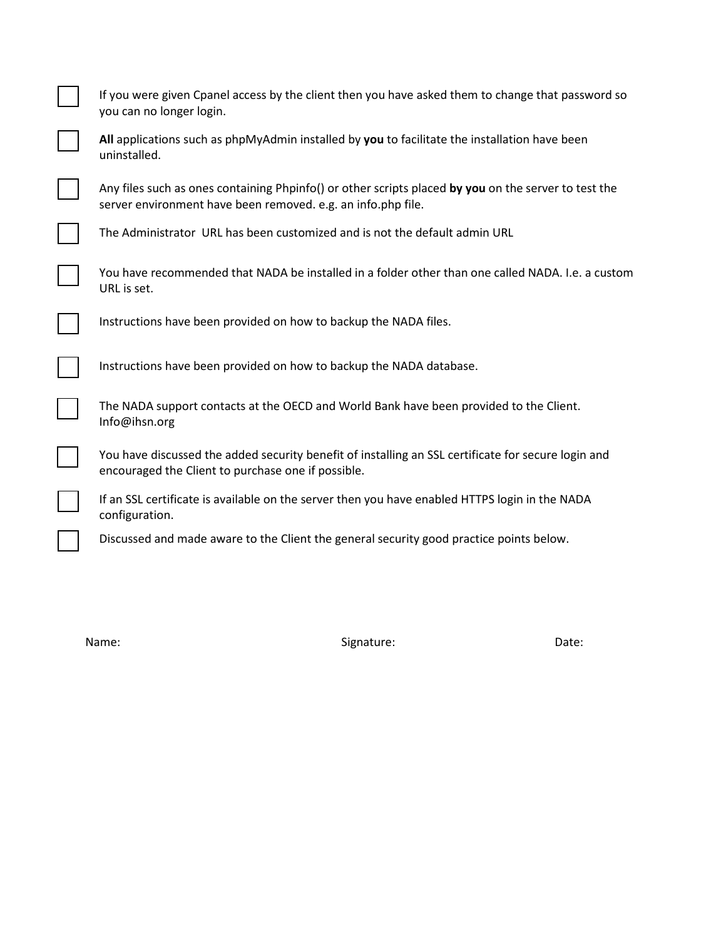| If you were given Cpanel access by the client then you have asked them to change that password so<br>you can no longer login.                                        |
|----------------------------------------------------------------------------------------------------------------------------------------------------------------------|
| All applications such as phpMyAdmin installed by you to facilitate the installation have been<br>uninstalled.                                                        |
| Any files such as ones containing Phpinfo() or other scripts placed by you on the server to test the<br>server environment have been removed. e.g. an info.php file. |
| The Administrator URL has been customized and is not the default admin URL                                                                                           |
| You have recommended that NADA be installed in a folder other than one called NADA. I.e. a custom<br>URL is set.                                                     |
| Instructions have been provided on how to backup the NADA files.                                                                                                     |
| Instructions have been provided on how to backup the NADA database.                                                                                                  |
| The NADA support contacts at the OECD and World Bank have been provided to the Client.<br>Info@ihsn.org                                                              |
| You have discussed the added security benefit of installing an SSL certificate for secure login and<br>encouraged the Client to purchase one if possible.            |
| If an SSL certificate is available on the server then you have enabled HTTPS login in the NADA<br>configuration.                                                     |
| Discussed and made aware to the Client the general security good practice points below.                                                                              |

Name: Contract Contract Contract Contract Contract Contract Contract Contract Contract Contract Contract Contract Contract Contract Contract Contract Contract Contract Contract Contract Contract Contract Contract Contract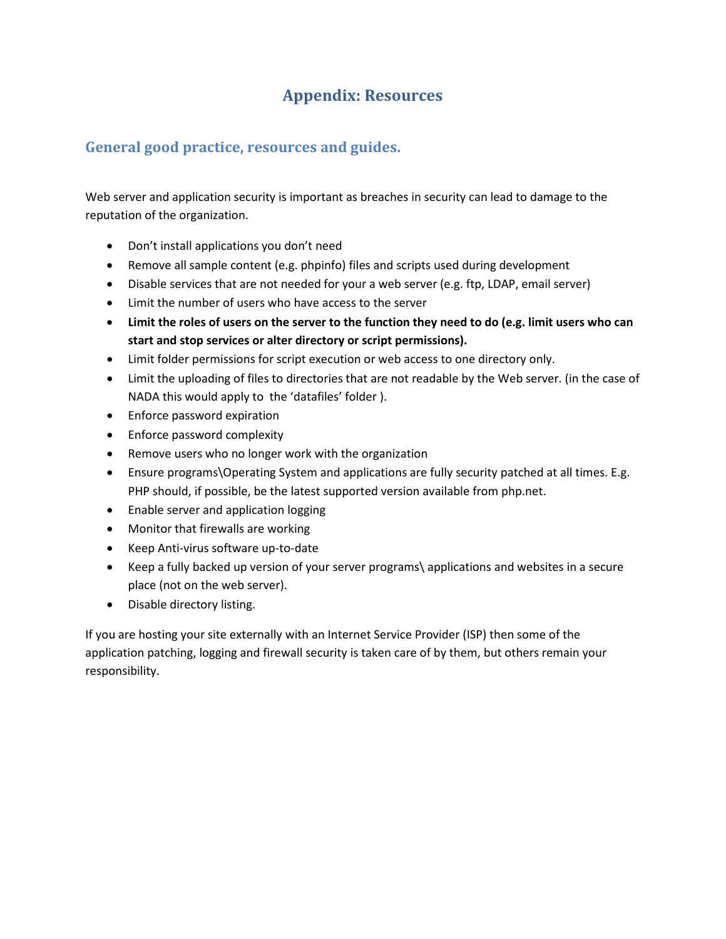# **Appendix: Resources**

## **General good practice, resources and guides.**

Web server and application security is important as breaches in security can lead to damage to the reputation of the organization.

- Don't install applications you don't need
- Remove all sample content (e.g. phpinfo) files and scripts used during development
- Disable services that are not needed for your a web server (e.g. ftp, LDAP, email server)
- Limit the number of users who have access to the server
- **Limit the roles of users on the server to the function they need to do (e.g. limit users who can start and stop services or alter directory or script permissions).**
- Limit folder permissions for script execution or web access to one directory only.
- Limit the uploading of files to directories that are not readable by the Web server. (in the case of NADA this would apply to the 'datafiles' folder ).
- Enforce password expiration
- Enforce password complexity
- Remove users who no longer work with the organization
- Ensure programs\Operating System and applications are fully security patched at all times. E.g. PHP should, if possible, be the latest supported version available from php.net.
- Enable server and application logging
- Monitor that firewalls are working
- Keep Anti-virus software up-to-date
- Keep a fully backed up version of your server programs\ applications and websites in a secure place (not on the web server).
- Disable directory listing.

If you are hosting your site externally with an Internet Service Provider (ISP) then some of the application patching, logging and firewall security is taken care of by them, but others remain your responsibility.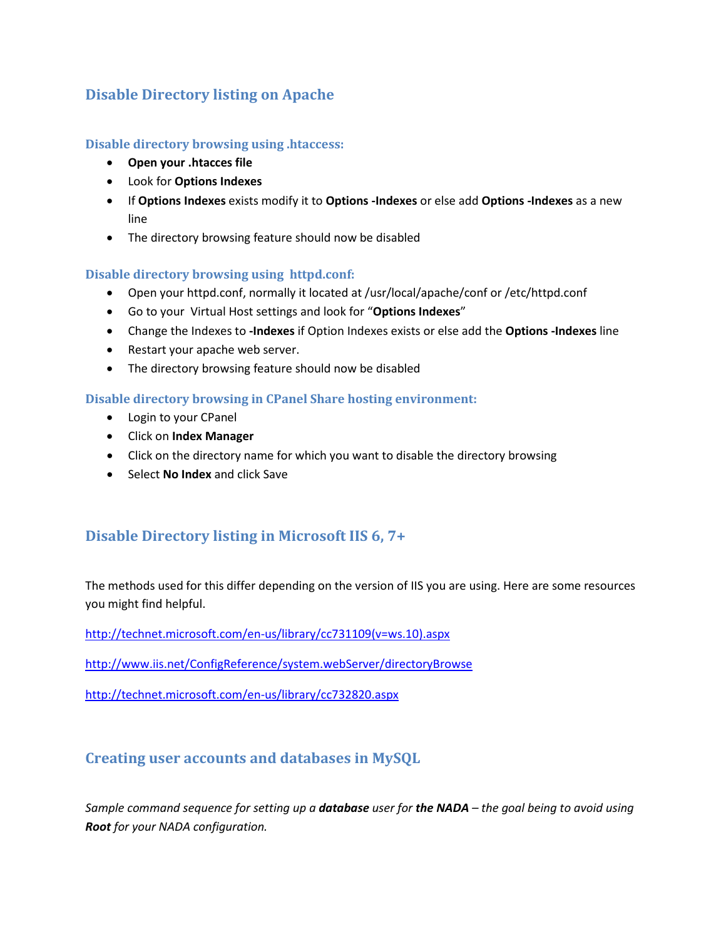## **Disable Directory listing on Apache**

#### **Disable directory browsing using .htaccess:**

- **Open your .htacces file**
- Look for **Options Indexes**
- If **Options Indexes** exists modify it to **Options -Indexes** or else add **Options -Indexes** as a new line
- The directory browsing feature should now be disabled

#### **Disable directory browsing using httpd.conf:**

- Open your httpd.conf, normally it located at /usr/local/apache/conf or /etc/httpd.conf
- Go to your Virtual Host settings and look for "**Options Indexes**"
- Change the Indexes to **-Indexes** if Option Indexes exists or else add the **Options -Indexes** line
- Restart your apache web server.
- The directory browsing feature should now be disabled

#### **Disable directory browsing in CPanel Share hosting environment:**

- Login to your CPanel
- Click on **Index Manager**
- Click on the directory name for which you want to disable the directory browsing
- Select **No Index** and click Save

## **Disable Directory listing in Microsoft IIS 6, 7+**

The methods used for this differ depending on the version of IIS you are using. Here are some resources you might find helpful.

[http://technet.microsoft.com/en-us/library/cc731109\(v=ws.10\).aspx](http://technet.microsoft.com/en-us/library/cc731109(v=ws.10).aspx)

<http://www.iis.net/ConfigReference/system.webServer/directoryBrowse>

<http://technet.microsoft.com/en-us/library/cc732820.aspx>

## **Creating user accounts and databases in MySQL**

*Sample command sequence for setting up a database user for the NADA – the goal being to avoid using Root for your NADA configuration.*